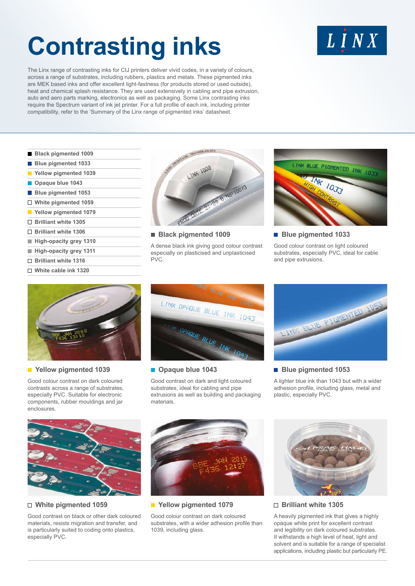# **Contrasting inks**

The Linx range of contrasting inks for CIJ printers deliver vivid codes, in a variety of colours, across a range of substrates, including rubbers, plastics and metals. These pigmented inks are MEK based inks and offer excellent light-fastness (for products stored or used outside), heat and chemical splash resistance. They are used extensively in cabling and pipe extrusion, auto and aero parts marking, electronics as well as packaging. Some Linx contrasting inks require the Spectrum variant of ink jet printer. For a full profile of each ink, including printer compatibility, refer to the 'Summary of the Linx range of pigmented inks' datasheet.

- **Black pigmented 1009**
- **Blue pigmented 1033**
- **Yellow pigmented 1039**
- **<sup>***Opaque blue* **1043**</sup>
- **Blue pigmented 1053**
- **White pigmented 1059**
- **Yellow pigmented 1079**
- **Brilliant white 1305**
- **Brilliant white 1306**
- **High-opacity grey 1310**
- **High-opacity grey 1311**
- **Brilliant white 1316**
- **White cable ink 1320**



 **Black pigmented 1009**

A dense black ink giving good colour contrast especially on plasticised and unplasticised PVC.



**Blue pigmented 1033** 

Good colour contrast on light coloured substrates, especially PVC, ideal for cable and pipe extrusions.



#### **Yellow pigmented 1039**

Good colour contrast on dark coloured contrasts across a range of substrates, especially PVC. Suitable for electronic components, rubber mouldings and jar enclosures.



#### $\blacksquare$  Opaque blue 1043

Good contrast on dark and light coloured substrates, ideal for cabling and pipe extrusions as well as building and packaging materials.



#### **Blue pigmented 1053**

A lighter blue ink than 1043 but with a wider adhesion profile, including glass, metal and plastic, especially PVC.



#### **White pigmented 1059**

Good contrast on black or other dark coloured materials, resists migration and transfer, and is particularly suited to coding onto plastics, especially PVC.



 **Yellow pigmented 1079**

Good colour contrast on dark coloured substrates, with a wider adhesion profile than 1039, including glass.



#### **Brilliant white 1305**

A heavily pigmented ink that gives a highly opaque white print for excellent contrast and legibility on dark coloured substrates. It withstands a high level of heat, light and solvent and is suitable for a range of specialist applications, including plastic but particularly PE.

## $L$   $I$   $N$   $X$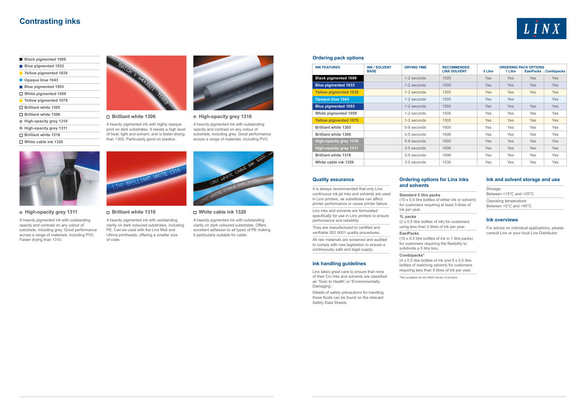### **Contrasting inks**

- **Black pigmented 1009**
- **Blue pigmented 1033 Yellow pigmented 1039**
- **<sup>***D***</sup>** Opaque blue 1043 **Blue pigmented 1053 White pigmented 1059 Yellow pigmented 1079 Brilliant white 1305 Brilliant white 1306 High-opacity grey 1310**
- **High-opacity grey 1311 Brilliant white 1316**
- **White cable ink 1320**

 **Brilliant white 1306**

A heavily pigmented ink with highly opaque print on dark substrates. It resists a high level of heat, light and solvent, and is faster drying than 1305. Particularly good on plastics.



 **High-opacity grey 1310**

A heavily pigmented ink with outstanding opacity and contrast on any colour of substrate, including grey. Good performance across a range of materials, including PVC.





 **High-opacity grey 1311**

A heavily pigmented ink with outstanding opacity and contrast on any colour of substrate, including grey. Good performance across a range of materials, including PVC Faster drying than 1310.



 **Brilliant white 1316**

LINX ERILLIAN

 $(4 \times 0.5)$  litre bottles of ink and  $6 \times 0.5$  litre bottles of matching solvent) for customers requiring less than 5 litres of ink per year.

A heavily pigmented ink with outstanding clarity on dark coloured substrates, including PE. Can be used with the Linx Midi and Ultima printheads, offering a smaller size

of code.

#### **White cable ink 1320**

A heavily pigmented ink with outstanding clarity on dark coloured substrates. Offers excellent adhesion to all types of PE making it particularly suitable for cable.

#### **Ordering options for Linx inks and solvents**

**Standard 5 litre packs**  (10 x 0.5 litre bottles of either ink or solvent) for customers requiring at least 5 litres of ink per year.

**1L packs** 

(2 x 0.5 litre bottles of ink) for customers

using less than 2 litres of ink per year.

#### **EasiPacks**

(10 x 0.5 litre bottles of ink in 1 litre packs)

for customers requiring the flexibility to subdivide a 5 litre box.

#### **Combipacks\***

\*Not available for the 8900 Series of printers



#### **Ink and solvent storage and use**

Storage: Between +15°C and +25°C Operating temperature: Between +5°C and +45°C

#### **Ink overviews**

For advice on individual applications, please consult Linx or your local Linx Distributor.

#### **Quality assurance**

It is always recommended that only Linx continuous ink jet inks and solvents are used in Linx printers, as substitutes can affect printer performance or cause printer failure.

Linx inks and solvents are formulated specifically for use in Linx printers to ensure performance and reliability.

They are manufactured to certified and verifiable ISO 9001 quality procedures.

All raw materials are screened and audited to comply with new legislation to ensure a continuously safe and legal supply.

#### **Ink handling guidelines**

Linx takes great care to ensure that none of their CIJ inks and solvents are classified as 'Toxic to Health' or 'Environmentally Damaging'.

Details of safety precautions for handling these fluids can be found on the relevant Safety Data Sheets.

#### **Ordering pack options**

| <b>INK FEATURES</b>           | <b>INK / SOLVENT</b><br><b>BASE</b> | <b>DRYING TIME</b> | <b>RECOMMENDED</b><br><b>LINX SOLVENT</b> | <b>ORDERING PACK OPTIONS</b><br><b>EasiPacks</b><br>5 Litre<br>1 Litre<br><b>Combipacks</b> |            |            |            |
|-------------------------------|-------------------------------------|--------------------|-------------------------------------------|---------------------------------------------------------------------------------------------|------------|------------|------------|
| <b>Black pigmented 1009</b>   |                                     | 1-2 seconds        | 1505                                      | <b>Yes</b>                                                                                  | <b>Yes</b> | <b>Yes</b> | <b>Yes</b> |
| <b>Blue pigmented 1033</b>    |                                     | 1-2 seconds        | 1505                                      | <b>Yes</b>                                                                                  | <b>Yes</b> | <b>Yes</b> | Yes        |
| <b>Yellow pigmented 1039</b>  |                                     | 1-2 seconds        | 1505                                      | <b>Yes</b>                                                                                  | <b>Yes</b> | Yes        | <b>Yes</b> |
| <b>Opaque blue 1043</b>       |                                     | 1-2 seconds        | 1505                                      | <b>Yes</b>                                                                                  | Yes        |            | Yes        |
| <b>Blue pigmented 1053</b>    |                                     | 1-2 seconds        | 1505                                      | <b>Yes</b>                                                                                  | <b>Yes</b> | <b>Yes</b> | Yes        |
| White pigmented 1059          |                                     | 1-2 seconds        | 1505                                      | Yes                                                                                         | Yes        | Yes        | Yes        |
| <b>Yellow pigmented 1079</b>  |                                     | 1-2 seconds        | 1505                                      | <b>Yes</b>                                                                                  | <b>Yes</b> | Yes        | <b>Yes</b> |
| <b>Brilliant white 1305</b>   |                                     | 5-9 seconds        | 1605                                      | Yes                                                                                         | Yes        | <b>Yes</b> | Yes        |
| <b>Brilliant white 1306</b>   |                                     | 3-5 seconds        | 1606                                      | Yes                                                                                         | Yes        | Yes        | Yes        |
| <b>High-opacity grey 1310</b> |                                     | 5-9 seconds        | 1605                                      | <b>Yes</b>                                                                                  | <b>Yes</b> | <b>Yes</b> | <b>Yes</b> |
| <b>High-opacity grey 1311</b> |                                     | 3-5 seconds        | 1606                                      | <b>Yes</b>                                                                                  | <b>Yes</b> | <b>Yes</b> | <b>Yes</b> |
| <b>Brilliant white 1316</b>   |                                     | 3-5 seconds        | 1606                                      | Yes                                                                                         | Yes        | Yes        | Yes        |
| White cable ink 1320          |                                     | 3-5 seconds        | 1530                                      | Yes                                                                                         | <b>Yes</b> | Yes        | Yes        |